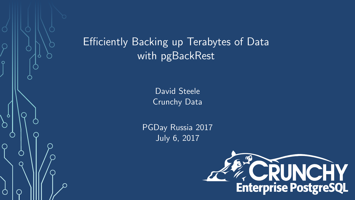Efficiently Backing up Terabytes of Data with pgBackRest

ö

David Steele Crunchy Data

PGDay Russia 2017 July 6, 2017

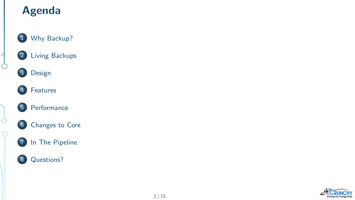# Agenda



#### [Design](#page-6-0)



#### [Performance](#page-21-0)



 $\sigma$ 

 $\bigg\}$ 



#### [In The Pipeline](#page-23-0)



[Questions?](#page-24-0)

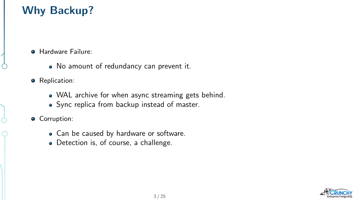# <span id="page-2-0"></span>Why Backup?

**•** Hardware Failure:

- No amount of redundancy can prevent it.
- **•** Replication:
	- WAL archive for when async streaming gets behind.
	- Sync replica from backup instead of master.
- **•** Corruption:
	- Can be caused by hardware or software.
	- Detection is, of course, a challenge.

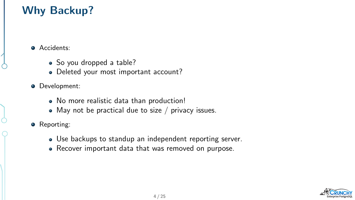# Why Backup?

- **Accidents:** 
	- So you dropped a table?
	- Deleted your most important account?
- **O** Development:
	- No more realistic data than production!
	- May not be practical due to size  $/$  privacy issues.
- **•** Reporting:
	- Use backups to standup an independent reporting server.
	- Recover important data that was removed on purpose.

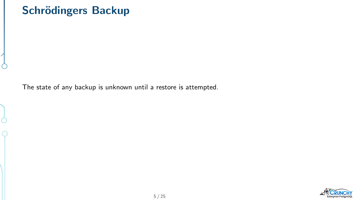# <span id="page-4-0"></span>Schrödingers Backup

The state of any backup is unknown until a restore is attempted.

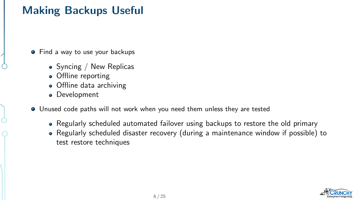# Making Backups Useful

• Find a way to use your backups

- Syncing / New Replicas
- Offline reporting
- Offline data archiving
- Development
- Unused code paths will not work when you need them unless they are tested
	- Regularly scheduled automated failover using backups to restore the old primary
	- Regularly scheduled disaster recovery (during a maintenance window if possible) to test restore techniques

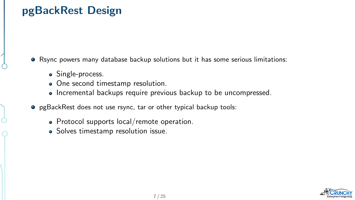# <span id="page-6-0"></span>pgBackRest Design

Rsync powers many database backup solutions but it has some serious limitations:

- Single-process.
- One second timestamp resolution.
- Incremental backups require previous backup to be uncompressed.
- pgBackRest does not use rsync, tar or other typical backup tools:
	- Protocol supports local/remote operation.
	- Solves timestamp resolution issue.

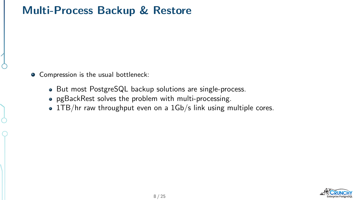### <span id="page-7-0"></span>Multi-Process Backup & Restore

- Compression is the usual bottleneck:
	- But most PostgreSQL backup solutions are single-process.
	- pgBackRest solves the problem with multi-processing.
	- 1TB/hr raw throughput even on a 1Gb/s link using multiple cores.

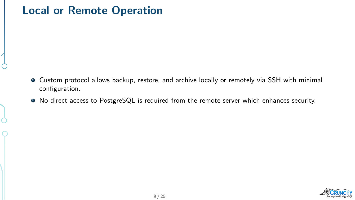## Local or Remote Operation

- Custom protocol allows backup, restore, and archive locally or remotely via SSH with minimal configuration.
- No direct access to PostgreSQL is required from the remote server which enhances security.

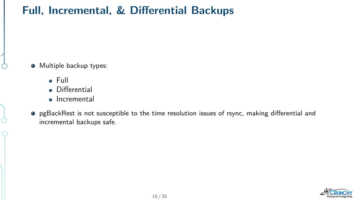# Full, Incremental, & Differential Backups

- Multiple backup types:
	- Full
	- **•** Differential
	- **·** Incremental
- pgBackRest is not susceptible to the time resolution issues of rsync, making differential and incremental backups safe.

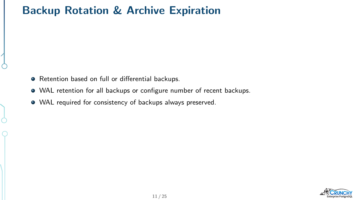## Backup Rotation & Archive Expiration

- Retention based on full or differential backups.
- WAL retention for all backups or configure number of recent backups.
- WAL required for consistency of backups always preserved.

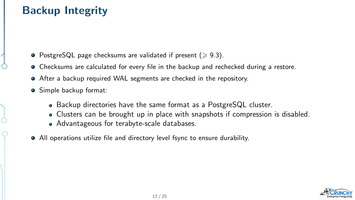# Backup Integrity

- PostgreSQL page checksums are validated if present ( $\geq 9.3$ ).
- $\bullet$  Checksums are calculated for every file in the backup and rechecked during a restore.
- After a backup required WAL segments are checked in the repository.
- **•** Simple backup format:
	- Backup directories have the same format as a PostgreSQL cluster.
	- Clusters can be brought up in place with snapshots if compression is disabled.
	- Advantageous for terabyte-scale databases.
- All operations utilize file and directory level fsync to ensure durability.

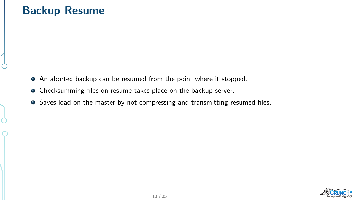### Backup Resume

- An aborted backup can be resumed from the point where it stopped.
- Checksumming files on resume takes place on the backup server.
- Saves load on the master by not compressing and transmitting resumed files.

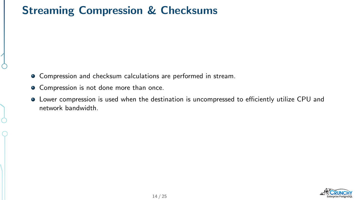## Streaming Compression & Checksums

- Compression and checksum calculations are performed in stream.
- Compression is not done more than once.
- Lower compression is used when the destination is uncompressed to efficiently utilize CPU and network bandwidth.

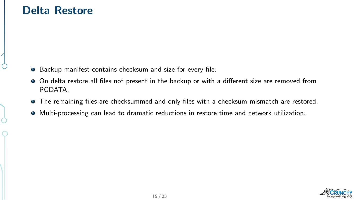#### Delta Restore

- Backup manifest contains checksum and size for every file.
- On delta restore all files not present in the backup or with a different size are removed from PGDATA.
- $\bullet$  The remaining files are checksummed and only files with a checksum mismatch are restored.
- $\bullet$  Multi-processing can lead to dramatic reductions in restore time and network utilization.

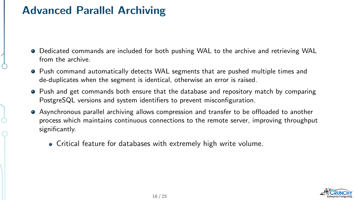## Advanced Parallel Archiving

- $\bullet$  Dedicated commands are included for both pushing WAL to the archive and retrieving WAL from the archive.
- Push command automatically detects WAL segments that are pushed multiple times and de-duplicates when the segment is identical, otherwise an error is raised.
- Push and get commands both ensure that the database and repository match by comparing PostgreSQL versions and system identifiers to prevent misconfiguration.
- Asynchronous parallel archiving allows compression and transfer to be offloaded to another process which maintains continuous connections to the remote server, improving throughput significantly.
	- Critical feature for databases with extremely high write volume.

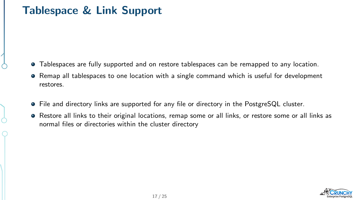# Tablespace & Link Support

- Tablespaces are fully supported and on restore tablespaces can be remapped to any location.
- Remap all tablespaces to one location with a single command which is useful for development restores.
- File and directory links are supported for any file or directory in the PostgreSQL cluster.
- Restore all links to their original locations, remap some or all links, or restore some or all links as normal files or directories within the cluster directory

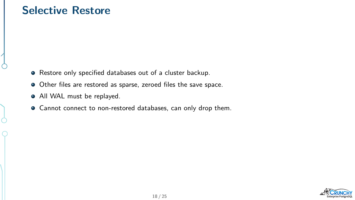#### Selective Restore

- Restore only specified databases out of a cluster backup.
- Other files are restored as sparse, zeroed files the save space.
- All WAL must be replayed.
- Cannot connect to non-restored databases, can only drop them.

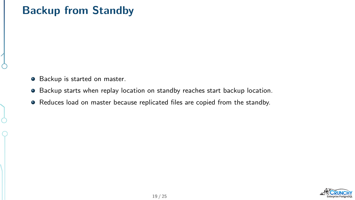# Backup from Standby

- Backup is started on master.
- Backup starts when replay location on standby reaches start backup location.
- Reduces load on master because replicated files are copied from the standby.

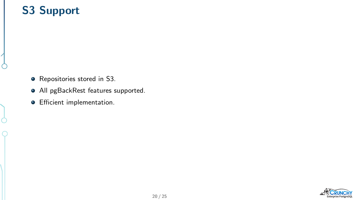# S3 Support

Ċ

- **•** Repositories stored in S3.
- All pgBackRest features supported.
- **•** Efficient implementation.

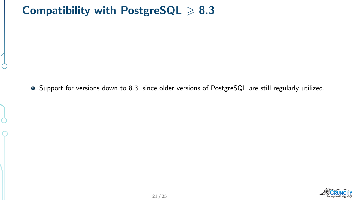# Compatibility with PostgreSQL  $\geq 8.3$

Support for versions down to 8.3, since older versions of PostgreSQL are still regularly utilized.

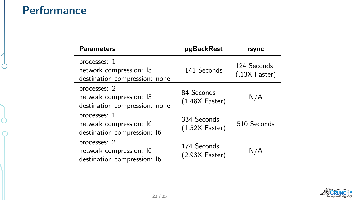## <span id="page-21-0"></span>**Performance**

 $\int$ 

Ò

| <b>Parameters</b>                                                        | pgBackRest                      | rsync                          |
|--------------------------------------------------------------------------|---------------------------------|--------------------------------|
| processes: 1<br>network compression: 13<br>destination compression: none | 141 Seconds                     | 124 Seconds<br>$(.13X$ Faster) |
| processes: 2<br>network compression: 13<br>destination compression: none | 84 Seconds<br>$(1.48X$ Faster)  | N/A                            |
| processes: 1<br>network compression: 16<br>destination compression: 16   | 334 Seconds<br>$(1.52X$ Faster) | 510 Seconds                    |
| processes: 2<br>network compression: 16<br>destination compression: 16   | 174 Seconds<br>$(2.93X$ Faster) | N/A                            |

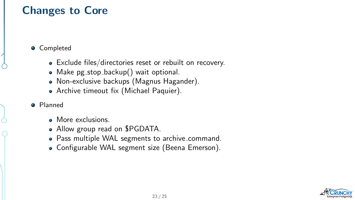#### <span id="page-22-0"></span>Changes to Core

**•** Completed

- Exclude files/directories reset or rebuilt on recovery.
- Make pg\_stop\_backup() wait optional.
- Non-exclusive backups (Magnus Hagander).
- Archive timeout fix (Michael Paquier).
- **•** Planned
	- **More exclusions**
	- Allow group read on \$PGDATA.
	- Pass multiple WAL segments to archive\_command.
	- Configurable WAL segment size (Beena Emerson).

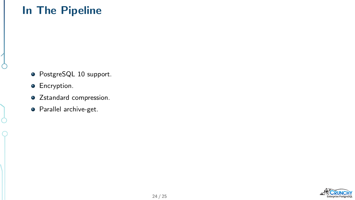## <span id="page-23-0"></span>In The Pipeline

- PostgreSQL 10 support.
- **·** Encryption.

Ċ

Ò

- Zstandard compression.
- **•** Parallel archive-get.